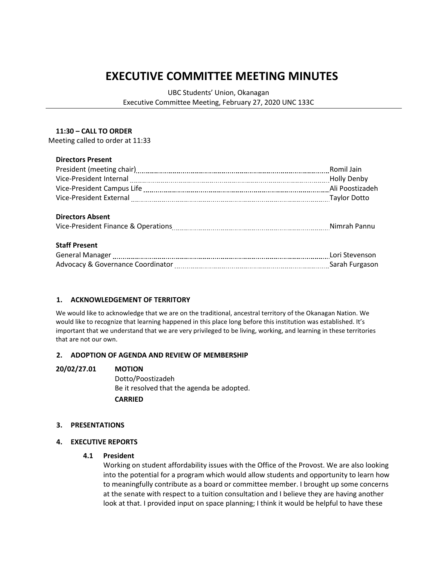# **EXECUTIVE COMMITTEE MEETING MINUTES**

UBC Students' Union, Okanagan Executive Committee Meeting, February 27, 2020 UNC 133C

## **11:30 – CALL TO ORDER**

Meeting called to order at 11:33

## **Directors Present**

|                                                                                                                 | Romil Jain |
|-----------------------------------------------------------------------------------------------------------------|------------|
| Vice-President Internal [111] North Marson and Muslim Marson Muslim Muslim Muslim Muslim Muslim Muslim Muslim M |            |
|                                                                                                                 |            |
| Vice-President External [111] Vice-President External [11] Vice-President External [11] Vice-President External |            |
|                                                                                                                 |            |
| <b>Directors Absent</b>                                                                                         |            |
|                                                                                                                 |            |
|                                                                                                                 |            |
| <b>Staff Present</b>                                                                                            |            |
| General Manager [11] Contact Manager [11] Contact Manager [11] Manager [11] Manager [11] Manager [11] Manager   |            |
| Advocacy & Governance Coordinator [11] Advocacy & Governance Coordinator [11] Advocacy & Governance Coordinator |            |
|                                                                                                                 |            |

# **1. ACKNOWLEDGEMENT OF TERRITORY**

We would like to acknowledge that we are on the traditional, ancestral territory of the Okanagan Nation. We would like to recognize that learning happened in this place long before this institution was established. It's important that we understand that we are very privileged to be living, working, and learning in these territories that are not our own.

# **2. ADOPTION OF AGENDA AND REVIEW OF MEMBERSHIP**

#### **20/02/27.01 MOTION**

Dotto/Poostizadeh Be it resolved that the agenda be adopted. **CARRIED**

# **3. PRESENTATIONS**

# **4. EXECUTIVE REPORTS**

#### **4.1 President**

Working on student affordability issues with the Office of the Provost. We are also looking into the potential for a program which would allow students and opportunity to learn how to meaningfully contribute as a board or committee member. I brought up some concerns at the senate with respect to a tuition consultation and I believe they are having another look at that. I provided input on space planning; I think it would be helpful to have these